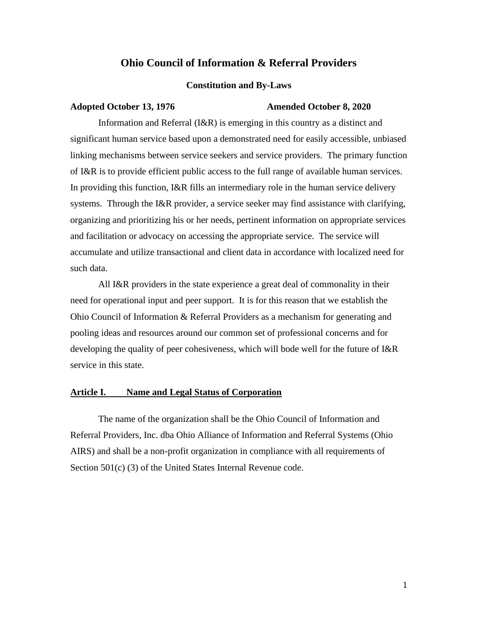# **Ohio Council of Information & Referral Providers**

#### **Constitution and By-Laws**

#### **Adopted October 13, 1976 Amended October 8, 2020**

Information and Referral (I&R) is emerging in this country as a distinct and significant human service based upon a demonstrated need for easily accessible, unbiased linking mechanisms between service seekers and service providers. The primary function of I&R is to provide efficient public access to the full range of available human services. In providing this function, I&R fills an intermediary role in the human service delivery systems. Through the I&R provider, a service seeker may find assistance with clarifying, organizing and prioritizing his or her needs, pertinent information on appropriate services and facilitation or advocacy on accessing the appropriate service. The service will accumulate and utilize transactional and client data in accordance with localized need for such data.

All I&R providers in the state experience a great deal of commonality in their need for operational input and peer support. It is for this reason that we establish the Ohio Council of Information & Referral Providers as a mechanism for generating and pooling ideas and resources around our common set of professional concerns and for developing the quality of peer cohesiveness, which will bode well for the future of I&R service in this state.

#### **Article I. Name and Legal Status of Corporation**

The name of the organization shall be the Ohio Council of Information and Referral Providers, Inc. dba Ohio Alliance of Information and Referral Systems (Ohio AIRS) and shall be a non-profit organization in compliance with all requirements of Section 501(c) (3) of the United States Internal Revenue code.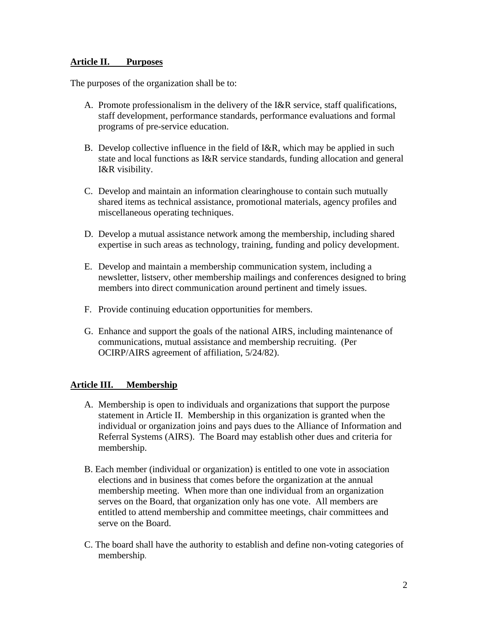## **Article II. Purposes**

The purposes of the organization shall be to:

- A. Promote professionalism in the delivery of the I&R service, staff qualifications, staff development, performance standards, performance evaluations and formal programs of pre-service education.
- B. Develop collective influence in the field of I&R, which may be applied in such state and local functions as I&R service standards, funding allocation and general I&R visibility.
- C. Develop and maintain an information clearinghouse to contain such mutually shared items as technical assistance, promotional materials, agency profiles and miscellaneous operating techniques.
- D. Develop a mutual assistance network among the membership, including shared expertise in such areas as technology, training, funding and policy development.
- E. Develop and maintain a membership communication system, including a newsletter, listserv, other membership mailings and conferences designed to bring members into direct communication around pertinent and timely issues.
- F. Provide continuing education opportunities for members.
- G. Enhance and support the goals of the national AIRS, including maintenance of communications, mutual assistance and membership recruiting. (Per OCIRP/AIRS agreement of affiliation, 5/24/82).

## **Article III. Membership**

- A. Membership is open to individuals and organizations that support the purpose statement in Article II. Membership in this organization is granted when the individual or organization joins and pays dues to the Alliance of Information and Referral Systems (AIRS). The Board may establish other dues and criteria for membership.
- B. Each member (individual or organization) is entitled to one vote in association elections and in business that comes before the organization at the annual membership meeting. When more than one individual from an organization serves on the Board, that organization only has one vote. All members are entitled to attend membership and committee meetings, chair committees and serve on the Board.
- C. The board shall have the authority to establish and define non-voting categories of membership.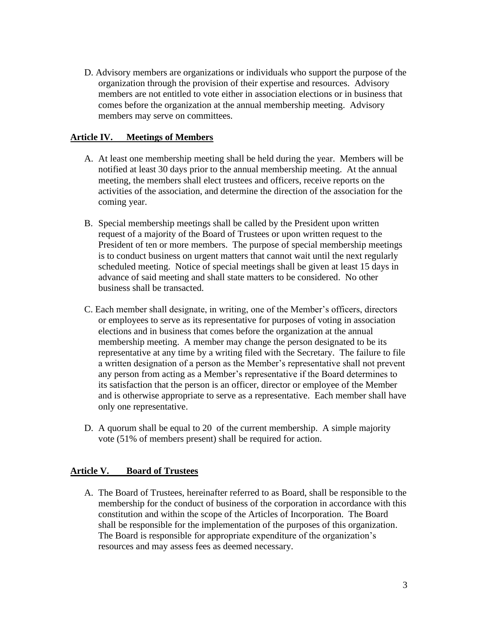D. Advisory members are organizations or individuals who support the purpose of the organization through the provision of their expertise and resources. Advisory members are not entitled to vote either in association elections or in business that comes before the organization at the annual membership meeting. Advisory members may serve on committees.

## **Article IV. Meetings of Members**

- A. At least one membership meeting shall be held during the year. Members will be notified at least 30 days prior to the annual membership meeting. At the annual meeting, the members shall elect trustees and officers, receive reports on the activities of the association, and determine the direction of the association for the coming year.
- B. Special membership meetings shall be called by the President upon written request of a majority of the Board of Trustees or upon written request to the President of ten or more members. The purpose of special membership meetings is to conduct business on urgent matters that cannot wait until the next regularly scheduled meeting. Notice of special meetings shall be given at least 15 days in advance of said meeting and shall state matters to be considered. No other business shall be transacted.
- C. Each member shall designate, in writing, one of the Member's officers, directors or employees to serve as its representative for purposes of voting in association elections and in business that comes before the organization at the annual membership meeting. A member may change the person designated to be its representative at any time by a writing filed with the Secretary. The failure to file a written designation of a person as the Member's representative shall not prevent any person from acting as a Member's representative if the Board determines to its satisfaction that the person is an officer, director or employee of the Member and is otherwise appropriate to serve as a representative. Each member shall have only one representative.
- D. A quorum shall be equal to 20 of the current membership. A simple majority vote (51% of members present) shall be required for action.

## **Article V. Board of Trustees**

A. The Board of Trustees, hereinafter referred to as Board, shall be responsible to the membership for the conduct of business of the corporation in accordance with this constitution and within the scope of the Articles of Incorporation. The Board shall be responsible for the implementation of the purposes of this organization. The Board is responsible for appropriate expenditure of the organization's resources and may assess fees as deemed necessary.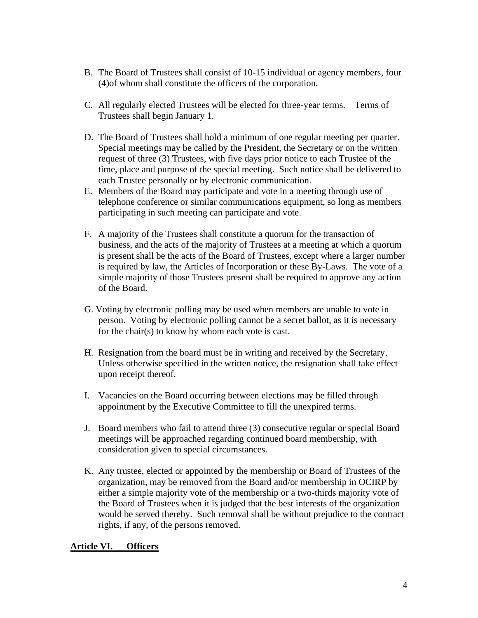- B. The Board of Trustees shall consist of 10-15 individual or agency members, four (4)of whom shall constitute the officers of the corporation.
- C. All regularly elected Trustees will be elected for three-year terms. Terms of Trustees shall begin January 1.
- D. The Board of Trustees shall hold a minimum of one regular meeting per quarter. Special meetings may be called by the President, the Secretary or on the written request of three (3) Trustees, with five days prior notice to each Trustee of the time, place and purpose of the special meeting. Such notice shall be delivered to each Trustee personally or by electronic communication.
- E. Members of the Board may participate and vote in a meeting through use of telephone conference or similar communications equipment, so long as members participating in such meeting can participate and vote.
- F. A majority of the Trustees shall constitute a quorum for the transaction of business, and the acts of the majority of Trustees at a meeting at which a quorum is present shall be the acts of the Board of Trustees, except where a larger number is required by law, the Articles of Incorporation or these By-Laws. The vote of a simple majority of those Trustees present shall be required to approve any action of the Board.
- G. Voting by electronic polling may be used when members are unable to vote in person. Voting by electronic polling cannot be a secret ballot, as it is necessary for the chair(s) to know by whom each vote is cast.
- H. Resignation from the board must be in writing and received by the Secretary. Unless otherwise specified in the written notice, the resignation shall take effect upon receipt thereof.
- I. Vacancies on the Board occurring between elections may be filled through appointment by the Executive Committee to fill the unexpired terms.
- J. Board members who fail to attend three (3) consecutive regular or special Board meetings will be approached regarding continued board membership, with consideration given to special circumstances.
- K. Any trustee, elected or appointed by the membership or Board of Trustees of the organization, may be removed from the Board and/or membership in OCIRP by either a simple majority vote of the membership or a two-thirds majority vote of the Board of Trustees when it is judged that the best interests of the organization would be served thereby. Such removal shall be without prejudice to the contract rights, if any, of the persons removed.

## **Article VI. Officers**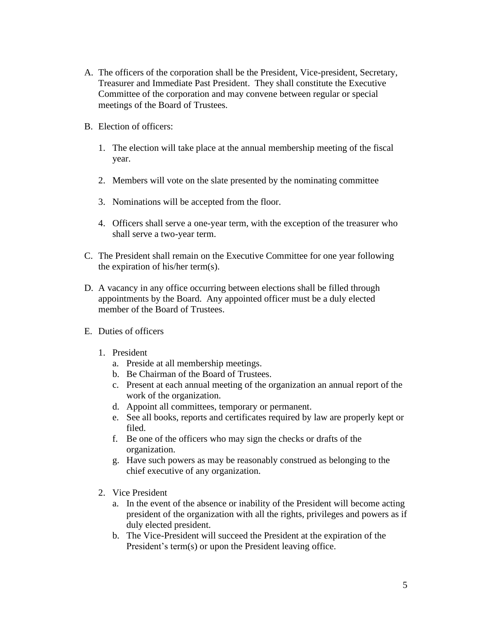- A. The officers of the corporation shall be the President, Vice-president, Secretary, Treasurer and Immediate Past President. They shall constitute the Executive Committee of the corporation and may convene between regular or special meetings of the Board of Trustees.
- B. Election of officers:
	- 1. The election will take place at the annual membership meeting of the fiscal year.
	- 2. Members will vote on the slate presented by the nominating committee
	- 3. Nominations will be accepted from the floor.
	- 4. Officers shall serve a one-year term, with the exception of the treasurer who shall serve a two-year term.
- C. The President shall remain on the Executive Committee for one year following the expiration of his/her term(s).
- D. A vacancy in any office occurring between elections shall be filled through appointments by the Board. Any appointed officer must be a duly elected member of the Board of Trustees.
- E. Duties of officers
	- 1. President
		- a. Preside at all membership meetings.
		- b. Be Chairman of the Board of Trustees.
		- c. Present at each annual meeting of the organization an annual report of the work of the organization.
		- d. Appoint all committees, temporary or permanent.
		- e. See all books, reports and certificates required by law are properly kept or filed.
		- f. Be one of the officers who may sign the checks or drafts of the organization.
		- g. Have such powers as may be reasonably construed as belonging to the chief executive of any organization.
	- 2. Vice President
		- a. In the event of the absence or inability of the President will become acting president of the organization with all the rights, privileges and powers as if duly elected president.
		- b. The Vice-President will succeed the President at the expiration of the President's term(s) or upon the President leaving office.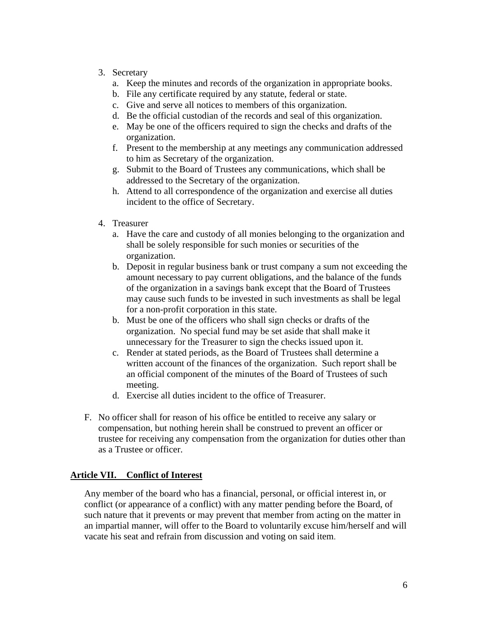- 3. Secretary
	- a. Keep the minutes and records of the organization in appropriate books.
	- b. File any certificate required by any statute, federal or state.
	- c. Give and serve all notices to members of this organization.
	- d. Be the official custodian of the records and seal of this organization.
	- e. May be one of the officers required to sign the checks and drafts of the organization.
	- f. Present to the membership at any meetings any communication addressed to him as Secretary of the organization.
	- g. Submit to the Board of Trustees any communications, which shall be addressed to the Secretary of the organization.
	- h. Attend to all correspondence of the organization and exercise all duties incident to the office of Secretary.
- 4. Treasurer
	- a. Have the care and custody of all monies belonging to the organization and shall be solely responsible for such monies or securities of the organization.
	- b. Deposit in regular business bank or trust company a sum not exceeding the amount necessary to pay current obligations, and the balance of the funds of the organization in a savings bank except that the Board of Trustees may cause such funds to be invested in such investments as shall be legal for a non-profit corporation in this state.
	- b. Must be one of the officers who shall sign checks or drafts of the organization. No special fund may be set aside that shall make it unnecessary for the Treasurer to sign the checks issued upon it.
	- c. Render at stated periods, as the Board of Trustees shall determine a written account of the finances of the organization. Such report shall be an official component of the minutes of the Board of Trustees of such meeting.
	- d. Exercise all duties incident to the office of Treasurer.
- F. No officer shall for reason of his office be entitled to receive any salary or compensation, but nothing herein shall be construed to prevent an officer or trustee for receiving any compensation from the organization for duties other than as a Trustee or officer.

# **Article VII. Conflict of Interest**

Any member of the board who has a financial, personal, or official interest in, or conflict (or appearance of a conflict) with any matter pending before the Board, of such nature that it prevents or may prevent that member from acting on the matter in an impartial manner, will offer to the Board to voluntarily excuse him/herself and will vacate his seat and refrain from discussion and voting on said item.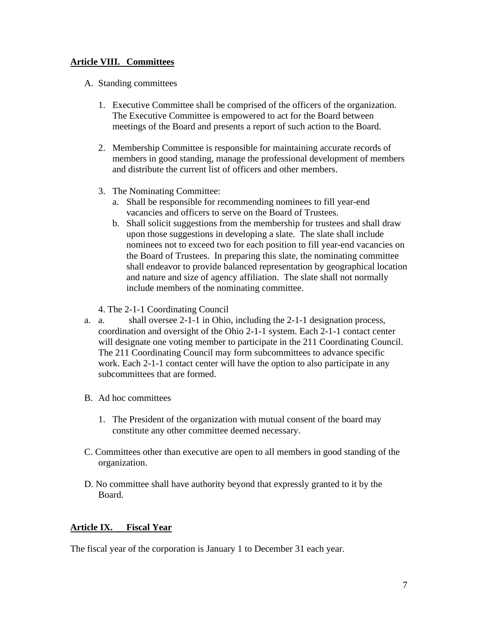# **Article VIII. Committees**

- A. Standing committees
	- 1. Executive Committee shall be comprised of the officers of the organization. The Executive Committee is empowered to act for the Board between meetings of the Board and presents a report of such action to the Board.
	- 2. Membership Committee is responsible for maintaining accurate records of members in good standing, manage the professional development of members and distribute the current list of officers and other members.
	- 3. The Nominating Committee:
		- a. Shall be responsible for recommending nominees to fill year-end vacancies and officers to serve on the Board of Trustees.
		- b. Shall solicit suggestions from the membership for trustees and shall draw upon those suggestions in developing a slate. The slate shall include nominees not to exceed two for each position to fill year-end vacancies on the Board of Trustees. In preparing this slate, the nominating committee shall endeavor to provide balanced representation by geographical location and nature and size of agency affiliation. The slate shall not normally include members of the nominating committee.
	- 4. The 2-1-1 Coordinating Council
- a. a. shall oversee 2-1-1 in Ohio, including the 2-1-1 designation process, coordination and oversight of the Ohio 2-1-1 system. Each 2-1-1 contact center will designate one voting member to participate in the 211 Coordinating Council. The 211 Coordinating Council may form subcommittees to advance specific work. Each 2-1-1 contact center will have the option to also participate in any subcommittees that are formed.
- B. Ad hoc committees
	- 1. The President of the organization with mutual consent of the board may constitute any other committee deemed necessary.
- C. Committees other than executive are open to all members in good standing of the organization.
- D. No committee shall have authority beyond that expressly granted to it by the Board.

## **Article IX. Fiscal Year**

The fiscal year of the corporation is January 1 to December 31 each year.